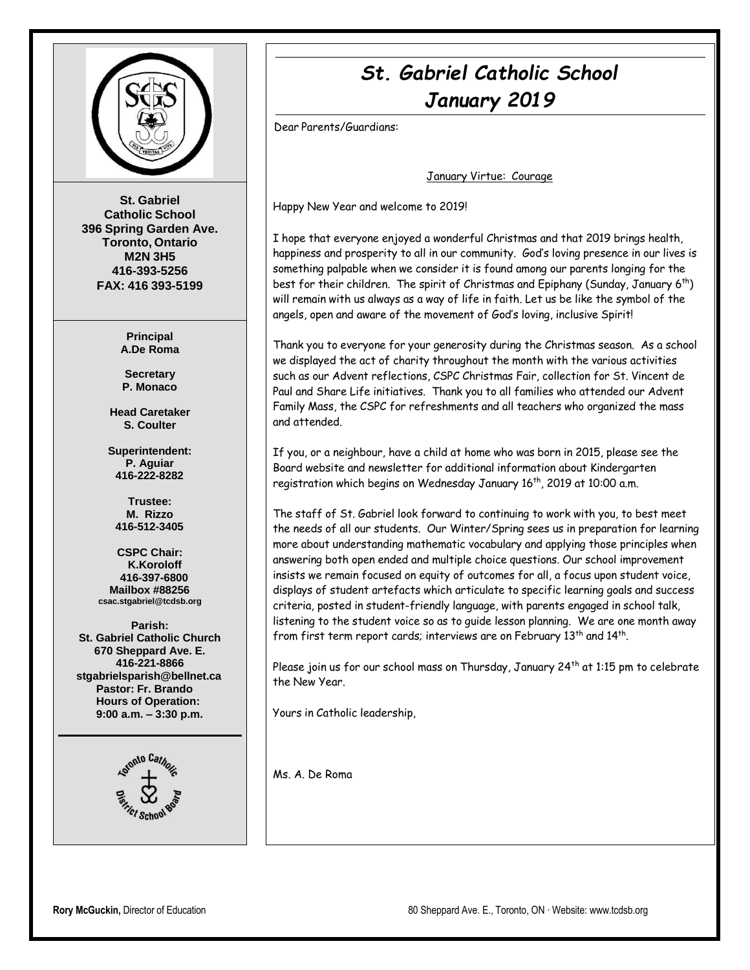

**St. Gabriel Catholic School 396 Spring Garden Ave. Toronto, Ontario M2N 3H5 416-393-5256 FAX: 416 393-5199**

> **Principal A.De Roma**

**Secretary P. Monaco**

**Head Caretaker S. Coulter**

**Superintendent: P. Aguiar 416-222-8282**

**Trustee: M. Rizzo 416-512-3405**

**CSPC Chair: K.Koroloff 416-397-6800 Mailbox #88256 [csac.stgabriel@tcdsb.org](mailto:csac.stgabriel@tcdsb.org)**

**Parish: St. Gabriel Catholic Church 670 Sheppard Ave. E. 416-221-8866 [stgabrielsparish@bellnet.ca](mailto:stgabrielsparish@bellnet.ca) Pastor: Fr. Brando Hours of Operation: 9:00 a.m. – 3:30 p.m.**



# *St. Gabriel Catholic School January 2019*

Dear Parents/Guardians:

January Virtue: Courage

Happy New Year and welcome to 2019!

I hope that everyone enjoyed a wonderful Christmas and that 2019 brings health, happiness and prosperity to all in our community. God's loving presence in our lives is something palpable when we consider it is found among our parents longing for the best for their children. The spirit of Christmas and Epiphany (Sunday, January  $6<sup>th</sup>$ ) will remain with us always as a way of life in faith. Let us be like the symbol of the angels, open and aware of the movement of God's loving, inclusive Spirit!

Thank you to everyone for your generosity during the Christmas season. As a school we displayed the act of charity throughout the month with the various activities such as our Advent reflections, CSPC Christmas Fair, collection for St. Vincent de Paul and Share Life initiatives. Thank you to all families who attended our Advent Family Mass, the CSPC for refreshments and all teachers who organized the mass and attended.

If you, or a neighbour, have a child at home who was born in 2015, please see the Board website and newsletter for additional information about Kindergarten registration which begins on Wednesday January 16<sup>th</sup>, 2019 at 10:00 a.m.

The staff of St. Gabriel look forward to continuing to work with you, to best meet the needs of all our students. Our Winter/Spring sees us in preparation for learning more about understanding mathematic vocabulary and applying those principles when answering both open ended and multiple choice questions. Our school improvement insists we remain focused on equity of outcomes for all, a focus upon student voice, displays of student artefacts which articulate to specific learning goals and success criteria, posted in student-friendly language, with parents engaged in school talk, listening to the student voice so as to guide lesson planning. We are one month away from first term report cards; interviews are on February  $13^{\text{th}}$  and  $14^{\text{th}}$ .

Please join us for our school mass on Thursday, January 24<sup>th</sup> at 1:15 pm to celebrate the New Year.

Yours in Catholic leadership,

Ms. A. De Roma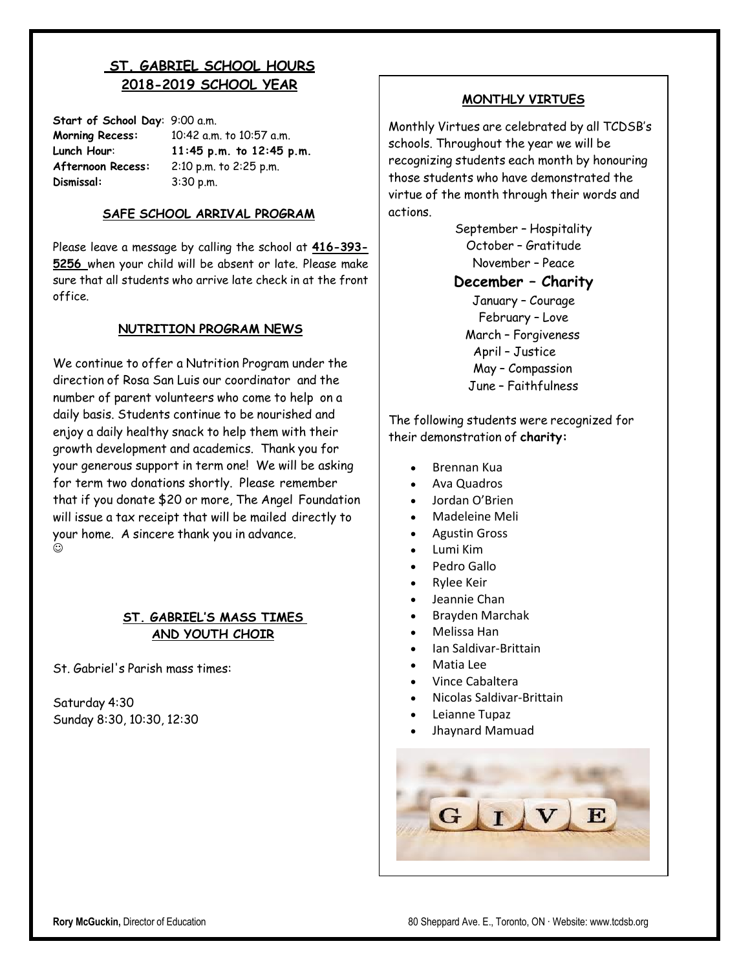# **ST. GABRIEL SCHOOL HOURS 2018-2019 SCHOOL YEAR**

**Start of School Day**: 9:00 a.m. **Morning Recess:** 10:42 a.m. to 10:57 a.m. **Lunch Hour**: **11:45 p.m. to 12:45 p.m. Afternoon Recess:** 2:10 p.m. to 2:25 p.m. **Dismissal:** 3:30 p.m.

### **SAFE SCHOOL ARRIVAL PROGRAM**

Please leave a message by calling the school at **416-393- 5256** when your child will be absent or late. Please make sure that all students who arrive late check in at the front office.

#### **NUTRITION PROGRAM NEWS**

We continue to offer a Nutrition Program under the direction of Rosa San Luis our coordinator and the number of parent volunteers who come to help on a daily basis. Students continue to be nourished and enjoy a daily healthy snack to help them with their growth development and academics. Thank you for your generous support in term one! We will be asking for term two donations shortly. Please remember that if you donate \$20 or more, The Angel Foundation will issue a tax receipt that will be mailed directly to your home. A sincere thank you in advance.  $\odot$ 

### **ST. GABRIEL'S MASS TIMES AND YOUTH CHOIR**

St. Gabriel's Parish mass times:

Saturday 4:30 Sunday 8:30, 10:30, 12:30

#### **MONTHLY VIRTUES**

Monthly Virtues are celebrated by all TCDSB's schools. Throughout the year we will be recognizing students each month by honouring those students who have demonstrated the virtue of the month through their words and actions.

> September – Hospitality October – Gratitude November – Peace **December – Charity** January – Courage February – Love March – Forgiveness April – Justice May – Compassion June – Faithfulness

The following students were recognized for their demonstration of **charity:**

- Brennan Kua
- Ava Quadros
- Jordan O'Brien
- Madeleine Meli
- Agustin Gross
- Lumi Kim
- Pedro Gallo
- Rylee Keir
- Jeannie Chan
- Brayden Marchak
- Melissa Han
- Ian Saldivar-Brittain
- Matia Lee
- Vince Cabaltera
- Nicolas Saldivar-Brittain
- Leianne Tupaz
- Jhaynard Mamuad

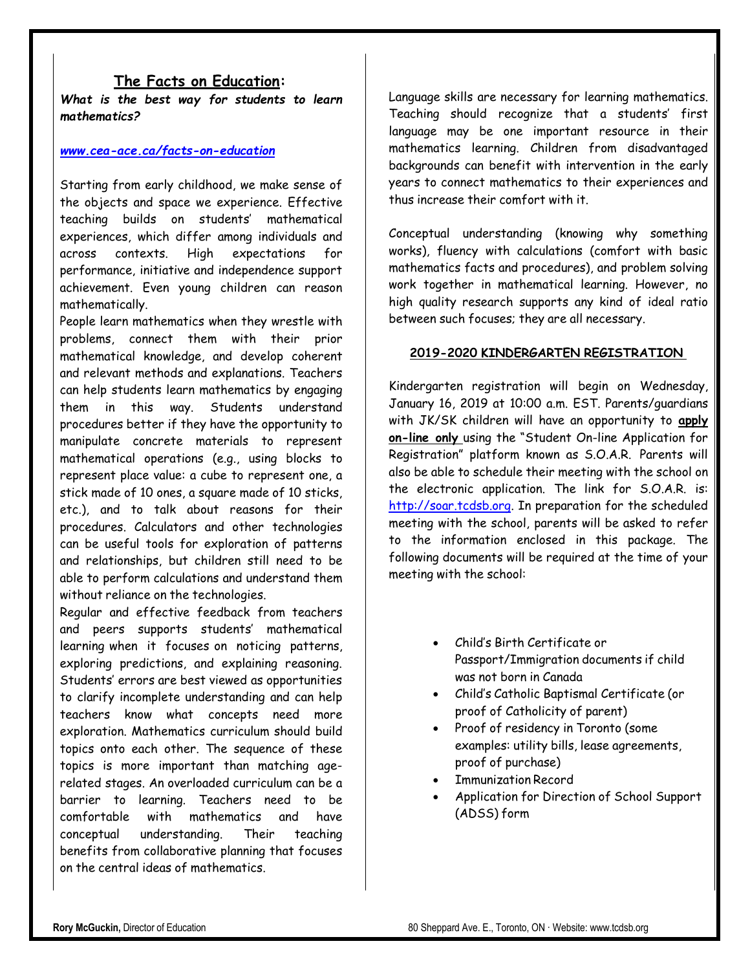## **The Facts on Education:**

*What is the best way for students to learn mathematics?*

#### *[www.cea-ace.ca/facts-on-education](http://www.cea-ace.ca/facts-on-education)*

Starting from early childhood, we make sense of the objects and space we experience. Effective teaching builds on students' mathematical experiences, which differ among individuals and across contexts. High expectations for performance, initiative and independence support achievement. Even young children can reason mathematically.

People learn mathematics when they wrestle with problems, connect them with their prior mathematical knowledge, and develop coherent and relevant methods and explanations. Teachers can help students learn mathematics by engaging them in this way. Students understand procedures better if they have the opportunity to manipulate concrete materials to represent mathematical operations (e.g., using blocks to represent place value: a cube to represent one, a stick made of 10 ones, a square made of 10 sticks, etc.), and to talk about reasons for their procedures. Calculators and other technologies can be useful tools for exploration of patterns and relationships, but children still need to be able to perform calculations and understand them without reliance on the technologies.

Regular and effective feedback from teachers and peers supports students' mathematical learning when it focuses on noticing patterns, exploring predictions, and explaining reasoning. Students' errors are best viewed as opportunities to clarify incomplete understanding and can help teachers know what concepts need more exploration. Mathematics curriculum should build topics onto each other. The sequence of these topics is more important than matching agerelated stages. An overloaded curriculum can be a barrier to learning. Teachers need to be comfortable with mathematics and have conceptual understanding. Their teaching benefits from collaborative planning that focuses on the central ideas of mathematics.

Language skills are necessary for learning mathematics. Teaching should recognize that a students' first language may be one important resource in their mathematics learning. Children from disadvantaged backgrounds can benefit with intervention in the early years to connect mathematics to their experiences and thus increase their comfort with it.

Conceptual understanding (knowing why something works), fluency with calculations (comfort with basic mathematics facts and procedures), and problem solving work together in mathematical learning. However, no high quality research supports any kind of ideal ratio between such focuses; they are all necessary.

#### **2019-2020 KINDERGARTEN REGISTRATION**

Kindergarten registration will begin on Wednesday, January 16, 2019 at 10:00 a.m. EST. Parents/guardians with JK/SK children will have an opportunity to **apply on-line only** using the "Student On-line Application for Registration" platform known as S.O.A.R. Parents will also be able to schedule their meeting with the school on the electronic application. The link for S.O.A.R. is: [http://soar.tcdsb.org.](http://soar.tcdsb.org/) In preparation for the scheduled meeting with the school, parents will be asked to refer to the information enclosed in this package. The following documents will be required at the time of your meeting with the school:

- Child's Birth Certificate or Passport/Immigration documents if child was not born in Canada
- Child's Catholic Baptismal Certificate (or proof of Catholicity of parent)
- Proof of residency in Toronto (some examples: utility bills, lease agreements, proof of purchase)
- Immunization Record
- Application for Direction of School Support (ADSS) form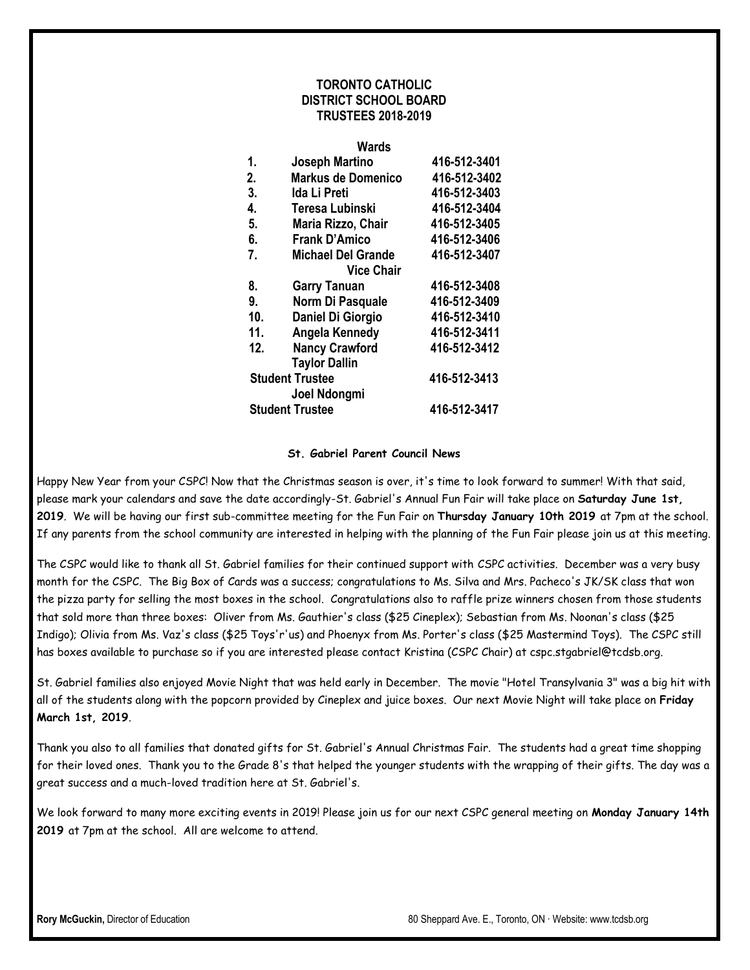### **TORONTO CATHOLIC DISTRICT SCHOOL BOARD TRUSTEES 2018-2019**

#### **Wards**

| 1.  | <b>Joseph Martino</b>                  | 416-512-3401 |
|-----|----------------------------------------|--------------|
| 2.  | <b>Markus de Domenico</b>              | 416-512-3402 |
| 3.  | Ida Li Preti                           | 416-512-3403 |
| 4.  | Teresa Lubinski                        | 416-512-3404 |
| 5.  | Maria Rizzo, Chair                     | 416-512-3405 |
| 6.  | <b>Frank D'Amico</b>                   | 416-512-3406 |
| 7.  | <b>Michael Del Grande</b>              | 416-512-3407 |
|     | <b>Vice Chair</b>                      |              |
| 8.  | <b>Garry Tanuan</b>                    | 416-512-3408 |
| 9.  | Norm Di Pasquale                       | 416-512-3409 |
| 10. | Daniel Di Giorgio                      | 416-512-3410 |
| 11. | Angela Kennedy                         | 416-512-3411 |
| 12. | <b>Nancy Crawford</b>                  | 416-512-3412 |
|     | <b>Taylor Dallin</b>                   |              |
|     | <b>Student Trustee</b><br>Joel Ndongmi |              |
|     | <b>Student Trustee</b>                 | 416-512-3417 |

#### **St. Gabriel Parent Council News**

Happy New Year from your CSPC! Now that the Christmas season is over, it's time to look forward to summer! With that said, please mark your calendars and save the date accordingly-St. Gabriel's Annual Fun Fair will take place on **Saturday June 1st, 2019**. We will be having our first sub-committee meeting for the Fun Fair on **Thursday January 10th 2019** at 7pm at the school. If any parents from the school community are interested in helping with the planning of the Fun Fair please join us at this meeting.

The CSPC would like to thank all St. Gabriel families for their continued support with CSPC activities. December was a very busy month for the CSPC. The Big Box of Cards was a success; congratulations to Ms. Silva and Mrs. Pacheco's JK/SK class that won the pizza party for selling the most boxes in the school. Congratulations also to raffle prize winners chosen from those students that sold more than three boxes: Oliver from Ms. Gauthier's class (\$25 Cineplex); Sebastian from Ms. Noonan's class (\$25 Indigo); Olivia from Ms. Vaz's class (\$25 Toys'r'us) and Phoenyx from Ms. Porter's class (\$25 Mastermind Toys). The CSPC still has boxes available to purchase so if you are interested please contact Kristina (CSPC Chair) at cspc.stgabriel@tcdsb.org.

St. Gabriel families also enjoyed Movie Night that was held early in December. The movie "Hotel Transylvania 3" was a big hit with all of the students along with the popcorn provided by Cineplex and juice boxes. Our next Movie Night will take place on **Friday March 1st, 2019**.

Thank you also to all families that donated gifts for St. Gabriel's Annual Christmas Fair. The students had a great time shopping for their loved ones. Thank you to the Grade 8's that helped the younger students with the wrapping of their gifts. The day was a great success and a much-loved tradition here at St. Gabriel's.

We look forward to many more exciting events in 2019! Please join us for our next CSPC general meeting on **Monday January 14th 2019** at 7pm at the school. All are welcome to attend.